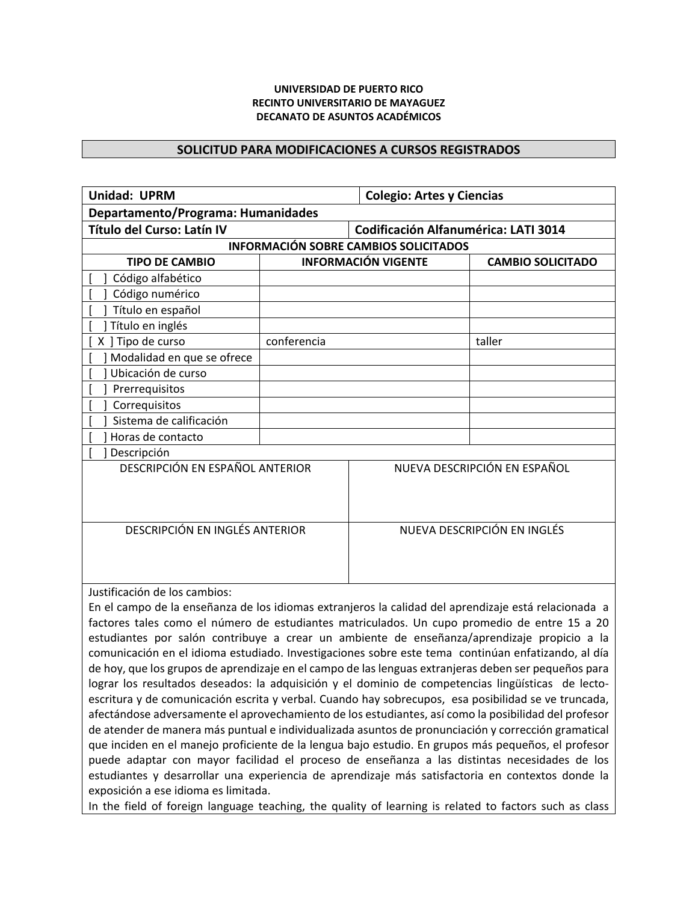## **UNIVERSIDAD DE PUERTO RICO RECINTO UNIVERSITARIO DE MAYAGUEZ DECANATO DE ASUNTOS ACADÉMICOS**

## **SOLICITUD PARA MODIFICACIONES A CURSOS REGISTRADOS**

| <b>Colegio: Artes y Ciencias</b>                                                                                                      |  |  |  |
|---------------------------------------------------------------------------------------------------------------------------------------|--|--|--|
| Departamento/Programa: Humanidades                                                                                                    |  |  |  |
| Codificación Alfanumérica: LATI 3014                                                                                                  |  |  |  |
| <b>INFORMACIÓN SOBRE CAMBIOS SOLICITADOS</b>                                                                                          |  |  |  |
| <b>CAMBIO SOLICITADO</b>                                                                                                              |  |  |  |
|                                                                                                                                       |  |  |  |
|                                                                                                                                       |  |  |  |
|                                                                                                                                       |  |  |  |
|                                                                                                                                       |  |  |  |
|                                                                                                                                       |  |  |  |
|                                                                                                                                       |  |  |  |
|                                                                                                                                       |  |  |  |
|                                                                                                                                       |  |  |  |
|                                                                                                                                       |  |  |  |
|                                                                                                                                       |  |  |  |
|                                                                                                                                       |  |  |  |
| Descripción<br>DESCRIPCIÓN EN ESPAÑOL ANTERIOR                                                                                        |  |  |  |
| NUEVA DESCRIPCIÓN EN ESPAÑOL                                                                                                          |  |  |  |
|                                                                                                                                       |  |  |  |
|                                                                                                                                       |  |  |  |
|                                                                                                                                       |  |  |  |
| NUEVA DESCRIPCIÓN EN INGLÉS                                                                                                           |  |  |  |
|                                                                                                                                       |  |  |  |
|                                                                                                                                       |  |  |  |
|                                                                                                                                       |  |  |  |
| Justificación de los cambios:<br>En el campo de la enseñanza de los idiomas extranjeros la calidad del aprendizaje está relacionada a |  |  |  |
|                                                                                                                                       |  |  |  |

factores tales como el número de estudiantes matriculados. Un cupo promedio de entre 15 a 20 estudiantes por salón contribuye a crear un ambiente de enseñanza/aprendizaje propicio a la comunicación en el idioma estudiado. Investigaciones sobre este tema continúan enfatizando, al día de hoy, que los grupos de aprendizaje en el campo de las lenguas extranjeras deben ser pequeños para lograr los resultados deseados: la adquisición y el dominio de competencias lingüísticas de lectoescritura y de comunicación escrita y verbal. Cuando hay sobrecupos, esa posibilidad se ve truncada, afectándose adversamente el aprovechamiento de los estudiantes, así como la posibilidad del profesor de atender de manera más puntual e individualizada asuntos de pronunciación y corrección gramatical que inciden en el manejo proficiente de la lengua bajo estudio. En grupos más pequeños, el profesor puede adaptar con mayor facilidad el proceso de enseñanza a las distintas necesidades de los estudiantes y desarrollar una experiencia de aprendizaje más satisfactoria en contextos donde la exposición a ese idioma es limitada.

In the field of foreign language teaching, the quality of learning is related to factors such as class